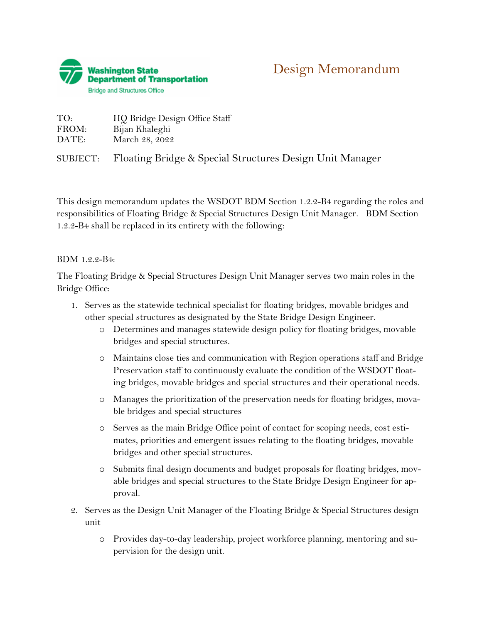

| TO:   | HO Bridge Design Office Staff |
|-------|-------------------------------|
| FROM: | Bijan Khaleghi                |
| DATE: | March 28, 2022                |

SUBJECT: Floating Bridge & Special Structures Design Unit Manager

This design memorandum updates the WSDOT BDM Section 1.2.2-B4 regarding the roles and responsibilities of Floating Bridge & Special Structures Design Unit Manager. BDM Section 1.2.2-B4 shall be replaced in its entirety with the following:

## BDM 1.2.2-B4:

The Floating Bridge & Special Structures Design Unit Manager serves two main roles in the Bridge Office:

- 1. Serves as the statewide technical specialist for floating bridges, movable bridges and other special structures as designated by the State Bridge Design Engineer.
	- o Determines and manages statewide design policy for floating bridges, movable bridges and special structures.
	- o Maintains close ties and communication with Region operations staff and Bridge Preservation staff to continuously evaluate the condition of the WSDOT floating bridges, movable bridges and special structures and their operational needs.
	- o Manages the prioritization of the preservation needs for floating bridges, movable bridges and special structures
	- o Serves as the main Bridge Office point of contact for scoping needs, cost estimates, priorities and emergent issues relating to the floating bridges, movable bridges and other special structures.
	- o Submits final design documents and budget proposals for floating bridges, movable bridges and special structures to the State Bridge Design Engineer for approval.
- 2. Serves as the Design Unit Manager of the Floating Bridge & Special Structures design unit
	- o Provides day-to-day leadership, project workforce planning, mentoring and supervision for the design unit.